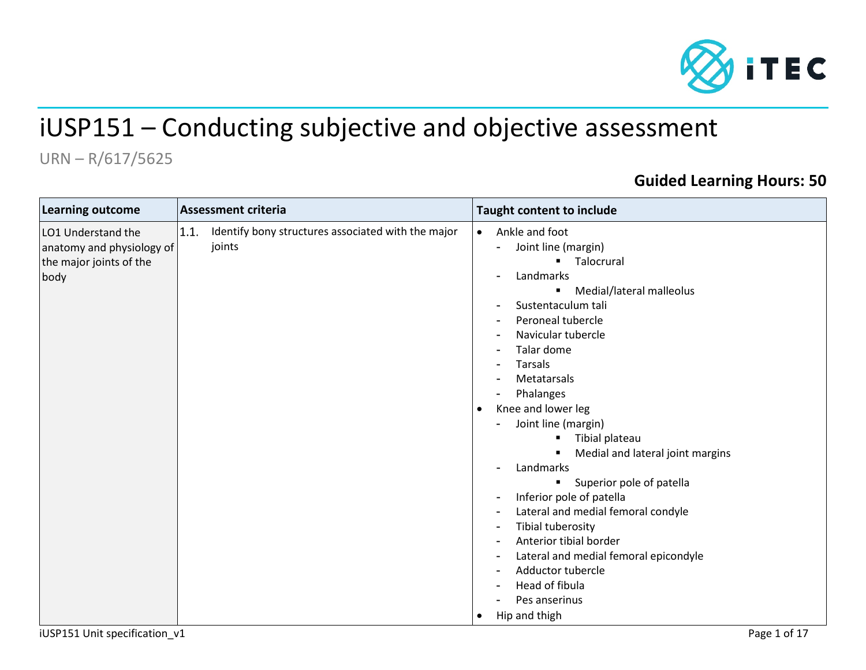

# iUSP151 – Conducting subjective and objective assessment

## URN – R/617/5625

## **Guided Learning Hours: 50**

| <b>Learning outcome</b>                                                            | Assessment criteria                                                  | Taught content to include                                                                                                                                                                                                                                                                                                                                                                                                                                                                                                                                                                                                                          |
|------------------------------------------------------------------------------------|----------------------------------------------------------------------|----------------------------------------------------------------------------------------------------------------------------------------------------------------------------------------------------------------------------------------------------------------------------------------------------------------------------------------------------------------------------------------------------------------------------------------------------------------------------------------------------------------------------------------------------------------------------------------------------------------------------------------------------|
| LO1 Understand the<br>anatomy and physiology of<br>the major joints of the<br>body | Identify bony structures associated with the major<br>1.1.<br>joints | Ankle and foot<br>$\bullet$<br>Joint line (margin)<br>Talocrural<br>Landmarks<br>Medial/lateral malleolus<br>$\blacksquare$<br>Sustentaculum tali<br>Peroneal tubercle<br>Navicular tubercle<br>Talar dome<br>Tarsals<br>Metatarsals<br>Phalanges<br>Knee and lower leg<br>Joint line (margin)<br>Tibial plateau<br>Medial and lateral joint margins<br>Landmarks<br>Superior pole of patella<br>$\blacksquare$<br>Inferior pole of patella<br>Lateral and medial femoral condyle<br>Tibial tuberosity<br>Anterior tibial border<br>Lateral and medial femoral epicondyle<br>Adductor tubercle<br>Head of fibula<br>Pes anserinus<br>Hip and thigh |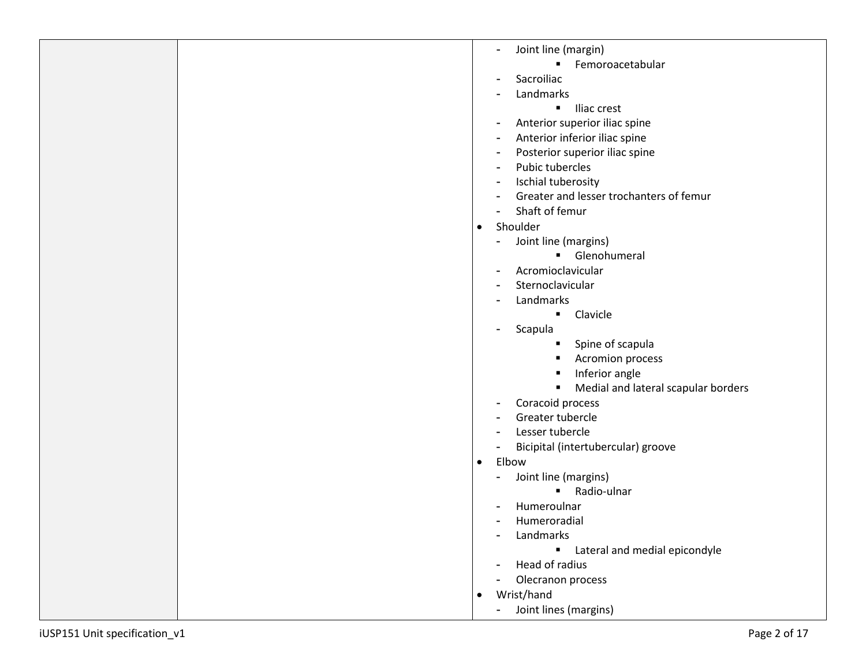| Joint line (margin)<br>Ξ.                         |
|---------------------------------------------------|
| Femoroacetabular<br>$\blacksquare$                |
| Sacroiliac                                        |
| Landmarks                                         |
| Iliac crest<br>$\blacksquare$                     |
| Anterior superior iliac spine                     |
| Anterior inferior iliac spine                     |
| Posterior superior iliac spine                    |
| Pubic tubercles                                   |
| Ischial tuberosity                                |
| Greater and lesser trochanters of femur           |
| Shaft of femur                                    |
| Shoulder<br>$\bullet$                             |
| Joint line (margins)                              |
| Glenohumeral                                      |
| Acromioclavicular                                 |
| Sternoclavicular                                  |
| Landmarks                                         |
| Clavicle<br>$\blacksquare$                        |
| Scapula                                           |
| Spine of scapula                                  |
| <b>Acromion process</b>                           |
| Inferior angle<br>п                               |
| Medial and lateral scapular borders               |
| Coracoid process                                  |
| Greater tubercle                                  |
| Lesser tubercle                                   |
| Bicipital (intertubercular) groove                |
| Elbow<br>$\bullet$                                |
| Joint line (margins)                              |
| Radio-ulnar                                       |
| Humeroulnar                                       |
| Humeroradial                                      |
| Landmarks                                         |
| Lateral and medial epicondyle                     |
| Head of radius                                    |
| Olecranon process                                 |
| Wrist/hand<br>$\bullet$                           |
| Joint lines (margins)<br>$\overline{\phantom{0}}$ |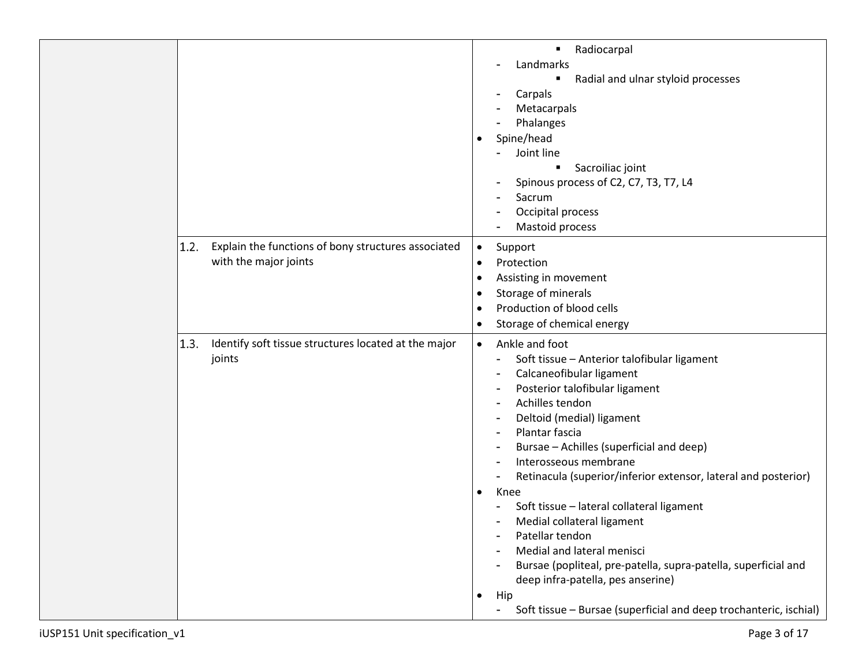|                                                                                      | Radiocarpal<br>٠<br>Landmarks<br>Radial and ulnar styloid processes<br>٠<br>Carpals<br>۰<br>Metacarpals<br>Phalanges<br>Spine/head<br>$\bullet$<br>Joint line<br>Sacroiliac joint<br>٠<br>Spinous process of C2, C7, T3, T7, L4<br>Sacrum<br>-<br>Occipital process<br>Mastoid process                                                                                                                                                                                                                                                                                                                                                                                                                            |
|--------------------------------------------------------------------------------------|-------------------------------------------------------------------------------------------------------------------------------------------------------------------------------------------------------------------------------------------------------------------------------------------------------------------------------------------------------------------------------------------------------------------------------------------------------------------------------------------------------------------------------------------------------------------------------------------------------------------------------------------------------------------------------------------------------------------|
| Explain the functions of bony structures associated<br>1.2.<br>with the major joints | Support<br>$\bullet$<br>Protection<br>$\bullet$<br>Assisting in movement<br>$\bullet$<br>Storage of minerals<br>٠<br>Production of blood cells<br>$\bullet$<br>Storage of chemical energy<br>$\bullet$                                                                                                                                                                                                                                                                                                                                                                                                                                                                                                            |
| 1.3.<br>Identify soft tissue structures located at the major<br>joints               | Ankle and foot<br>$\bullet$<br>Soft tissue - Anterior talofibular ligament<br>Calcaneofibular ligament<br>Posterior talofibular ligament<br>Achilles tendon<br>Deltoid (medial) ligament<br>۰<br>Plantar fascia<br>Bursae - Achilles (superficial and deep)<br>Interosseous membrane<br>Retinacula (superior/inferior extensor, lateral and posterior)<br>Knee<br>٠<br>Soft tissue - lateral collateral ligament<br>Medial collateral ligament<br>Patellar tendon<br>Medial and lateral menisci<br>Bursae (popliteal, pre-patella, supra-patella, superficial and<br>deep infra-patella, pes anserine)<br>Hip<br>$\bullet$<br>Soft tissue - Bursae (superficial and deep trochanteric, ischial)<br>$\blacksquare$ |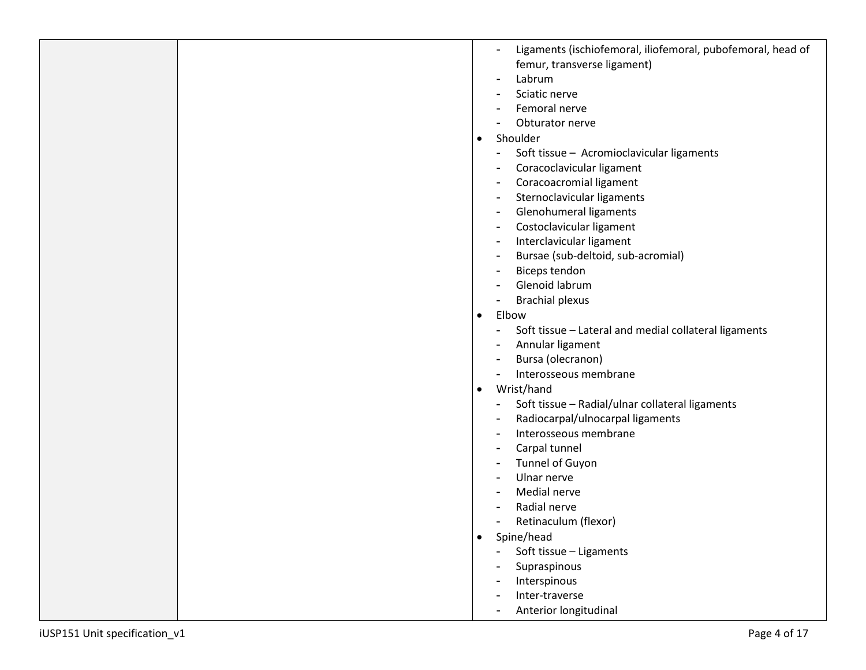|  |           | Ligaments (ischiofemoral, iliofemoral, pubofemoral, head of<br>$\overline{a}$     |
|--|-----------|-----------------------------------------------------------------------------------|
|  |           | femur, transverse ligament)                                                       |
|  |           | Labrum<br>$\overline{a}$                                                          |
|  |           | Sciatic nerve                                                                     |
|  |           |                                                                                   |
|  |           | Femoral nerve                                                                     |
|  |           | Obturator nerve                                                                   |
|  | $\bullet$ | Shoulder                                                                          |
|  |           | Soft tissue - Acromioclavicular ligaments<br>٠                                    |
|  |           | Coracoclavicular ligament<br>$\overline{\phantom{a}}$                             |
|  |           | Coracoacromial ligament<br>$\blacksquare$                                         |
|  |           | Sternoclavicular ligaments<br>$\blacksquare$                                      |
|  |           | Glenohumeral ligaments<br>$\blacksquare$                                          |
|  |           | Costoclavicular ligament<br>$\blacksquare$                                        |
|  |           | Interclavicular ligament<br>$\blacksquare$                                        |
|  |           | Bursae (sub-deltoid, sub-acromial)                                                |
|  |           | $\blacksquare$                                                                    |
|  |           | Biceps tendon<br>$\overline{\phantom{a}}$                                         |
|  |           | Glenoid labrum<br>$\overline{\phantom{a}}$                                        |
|  |           | <b>Brachial plexus</b><br>$\overline{\phantom{a}}$                                |
|  | $\bullet$ | Elbow                                                                             |
|  |           | Soft tissue - Lateral and medial collateral ligaments<br>$\overline{\phantom{0}}$ |
|  |           | Annular ligament                                                                  |
|  |           | Bursa (olecranon)<br>$\blacksquare$                                               |
|  |           | Interosseous membrane<br>$\overline{\phantom{a}}$                                 |
|  | $\bullet$ | Wrist/hand                                                                        |
|  |           | Soft tissue - Radial/ulnar collateral ligaments<br>$\overline{a}$                 |
|  |           | Radiocarpal/ulnocarpal ligaments<br>$\blacksquare$                                |
|  |           | Interosseous membrane<br>$\blacksquare$                                           |
|  |           |                                                                                   |
|  |           | Carpal tunnel<br>$\overline{\phantom{a}}$                                         |
|  |           | Tunnel of Guyon<br>$\blacksquare$                                                 |
|  |           | Ulnar nerve<br>$\overline{\phantom{a}}$                                           |
|  |           | Medial nerve                                                                      |
|  |           | Radial nerve                                                                      |
|  |           | Retinaculum (flexor)                                                              |
|  | $\bullet$ | Spine/head                                                                        |
|  |           | Soft tissue - Ligaments<br>$\frac{1}{2}$                                          |
|  |           | Supraspinous                                                                      |
|  |           | Interspinous                                                                      |
|  |           | Inter-traverse<br>$\blacksquare$                                                  |
|  |           | Anterior longitudinal<br>$\overline{\phantom{a}}$                                 |
|  |           |                                                                                   |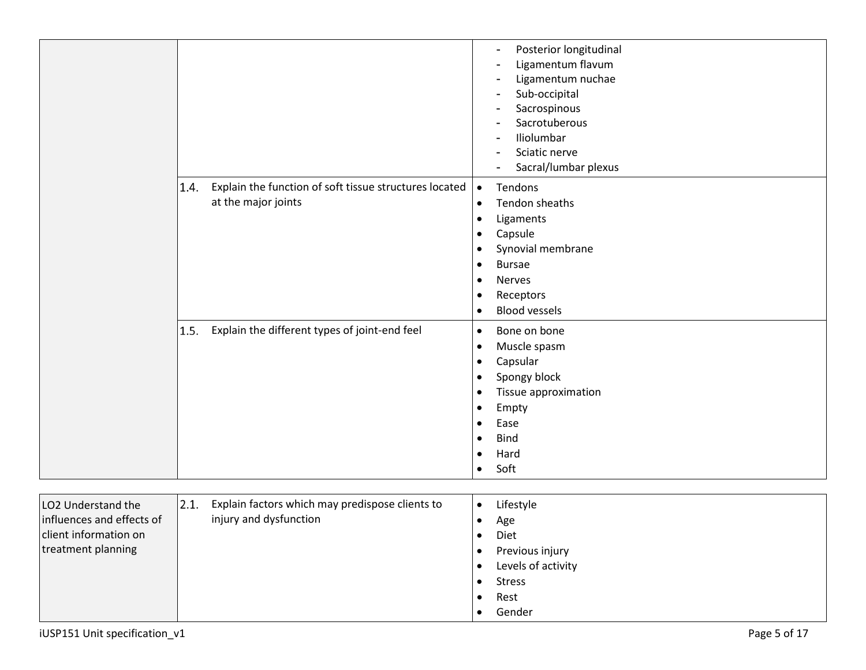|                                                                          |                                                                                       | Posterior longitudinal<br>$\qquad \qquad$<br>Ligamentum flavum<br>$\overline{\phantom{a}}$<br>Ligamentum nuchae<br>$\overline{\phantom{a}}$<br>Sub-occipital<br>$\blacksquare$<br>Sacrospinous<br>$\overline{\phantom{a}}$<br>Sacrotuberous<br>Iliolumbar<br>Sciatic nerve<br>Sacral/lumbar plexus |
|--------------------------------------------------------------------------|---------------------------------------------------------------------------------------|----------------------------------------------------------------------------------------------------------------------------------------------------------------------------------------------------------------------------------------------------------------------------------------------------|
|                                                                          | Explain the function of soft tissue structures located<br>1.4.<br>at the major joints | Tendons<br>$\bullet$<br>Tendon sheaths<br>$\bullet$<br>Ligaments<br>$\bullet$<br>Capsule<br>$\bullet$                                                                                                                                                                                              |
|                                                                          |                                                                                       | Synovial membrane<br>$\bullet$<br><b>Bursae</b><br>$\bullet$<br>Nerves<br>$\bullet$<br>Receptors<br>$\bullet$<br><b>Blood vessels</b><br>$\bullet$                                                                                                                                                 |
|                                                                          | Explain the different types of joint-end feel<br>1.5.                                 | Bone on bone<br>$\bullet$<br>Muscle spasm<br>$\bullet$<br>Capsular<br>$\bullet$<br>Spongy block<br>$\bullet$<br>Tissue approximation<br>$\bullet$<br>Empty<br>$\bullet$<br>Ease<br>$\bullet$<br><b>Bind</b><br>$\bullet$<br>Hard<br>$\bullet$<br>Soft<br>$\bullet$                                 |
| LO2 Understand the<br>influences and effects of<br>client information on | 2.1.<br>Explain factors which may predispose clients to<br>injury and dysfunction     | Lifestyle<br>$\bullet$<br>Age<br>$\bullet$<br>Diet<br>$\bullet$                                                                                                                                                                                                                                    |

- Levels of activity
- Stress
- Rest
- Gender

treatment planning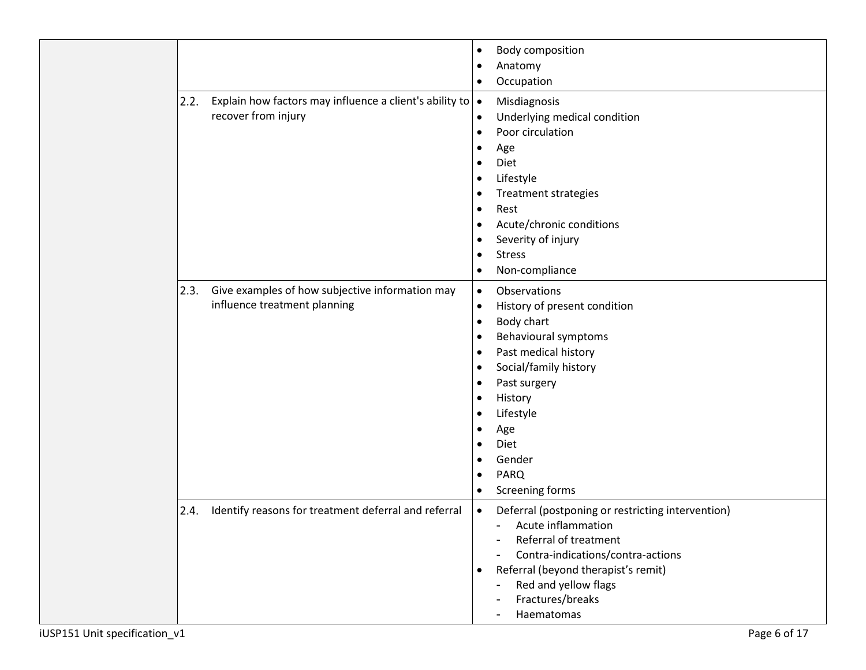|      |                                                         | $\bullet$ | <b>Body composition</b>                           |
|------|---------------------------------------------------------|-----------|---------------------------------------------------|
|      |                                                         | $\bullet$ | Anatomy                                           |
|      |                                                         | $\bullet$ | Occupation                                        |
| 2.2. | Explain how factors may influence a client's ability to | $\bullet$ | Misdiagnosis                                      |
|      | recover from injury                                     | $\bullet$ | Underlying medical condition                      |
|      |                                                         | $\bullet$ | Poor circulation                                  |
|      |                                                         | $\bullet$ | Age                                               |
|      |                                                         | $\bullet$ | Diet                                              |
|      |                                                         | $\bullet$ | Lifestyle                                         |
|      |                                                         | $\bullet$ | <b>Treatment strategies</b>                       |
|      |                                                         | $\bullet$ | Rest                                              |
|      |                                                         | $\bullet$ | Acute/chronic conditions                          |
|      |                                                         | $\bullet$ | Severity of injury                                |
|      |                                                         | $\bullet$ | <b>Stress</b>                                     |
|      |                                                         | $\bullet$ | Non-compliance                                    |
| 2.3. | Give examples of how subjective information may         | $\bullet$ | <b>Observations</b>                               |
|      | influence treatment planning                            | $\bullet$ | History of present condition                      |
|      |                                                         | $\bullet$ | Body chart                                        |
|      |                                                         | $\bullet$ | Behavioural symptoms                              |
|      |                                                         | $\bullet$ | Past medical history                              |
|      |                                                         | $\bullet$ | Social/family history                             |
|      |                                                         | $\bullet$ | Past surgery                                      |
|      |                                                         | $\bullet$ | History                                           |
|      |                                                         | $\bullet$ | Lifestyle                                         |
|      |                                                         | $\bullet$ | Age                                               |
|      |                                                         | $\bullet$ | Diet                                              |
|      |                                                         | $\bullet$ | Gender                                            |
|      |                                                         | $\bullet$ | <b>PARQ</b>                                       |
|      |                                                         | $\bullet$ | Screening forms                                   |
| 2.4. | Identify reasons for treatment deferral and referral    | $\bullet$ | Deferral (postponing or restricting intervention) |
|      |                                                         |           | Acute inflammation                                |
|      |                                                         |           | Referral of treatment                             |
|      |                                                         |           | Contra-indications/contra-actions                 |
|      |                                                         | $\bullet$ | Referral (beyond therapist's remit)               |
|      |                                                         |           | Red and yellow flags                              |
|      |                                                         |           | Fractures/breaks                                  |
|      |                                                         |           | Haematomas                                        |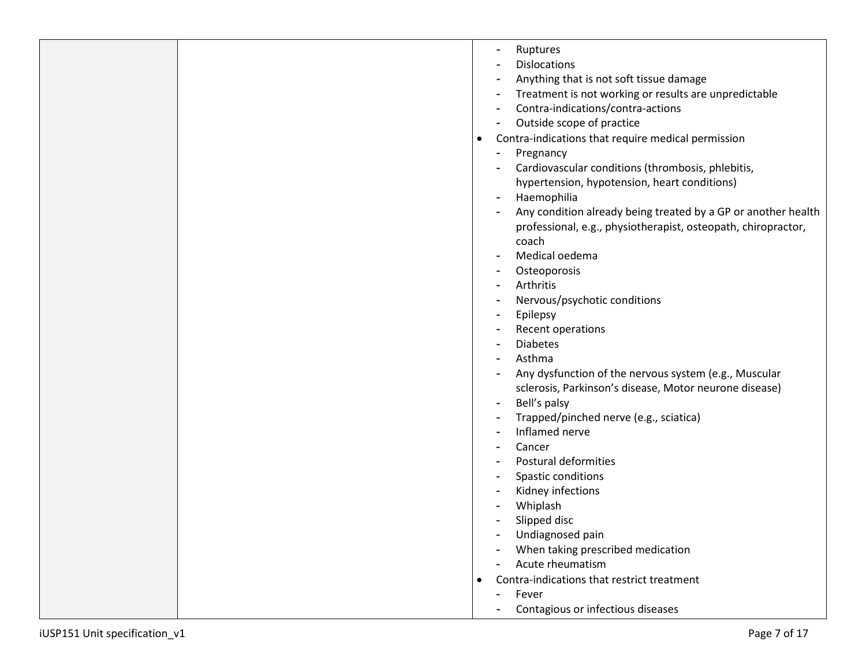|  |           | Ruptures<br>۰<br><b>Dislocations</b><br>$\blacksquare$<br>Anything that is not soft tissue damage<br>Treatment is not working or results are unpredictable<br>٠<br>Contra-indications/contra-actions<br>$\overline{\phantom{a}}$<br>Outside scope of practice<br>$\blacksquare$ |
|--|-----------|---------------------------------------------------------------------------------------------------------------------------------------------------------------------------------------------------------------------------------------------------------------------------------|
|  | $\bullet$ | Contra-indications that require medical permission<br>Pregnancy<br>Cardiovascular conditions (thrombosis, phlebitis,<br>hypertension, hypotension, heart conditions)<br>Haemophilia<br>Any condition already being treated by a GP or another health                            |
|  |           | professional, e.g., physiotherapist, osteopath, chiropractor,<br>coach<br>Medical oedema<br>Osteoporosis<br>Arthritis                                                                                                                                                           |
|  |           | Nervous/psychotic conditions<br>Epilepsy<br>$\blacksquare$<br>Recent operations<br><b>Diabetes</b><br>Asthma<br>Any dysfunction of the nervous system (e.g., Muscular                                                                                                           |
|  |           | sclerosis, Parkinson's disease, Motor neurone disease)<br>Bell's palsy<br>Trapped/pinched nerve (e.g., sciatica)<br>Inflamed nerve<br>Cancer<br><b>Postural deformities</b>                                                                                                     |
|  |           | Spastic conditions<br>Kidney infections<br>Whiplash<br>Slipped disc<br>Undiagnosed pain                                                                                                                                                                                         |
|  |           | When taking prescribed medication<br>Acute rheumatism<br>Contra-indications that restrict treatment<br>Fever<br>Contagious or infectious diseases<br>$\blacksquare$                                                                                                             |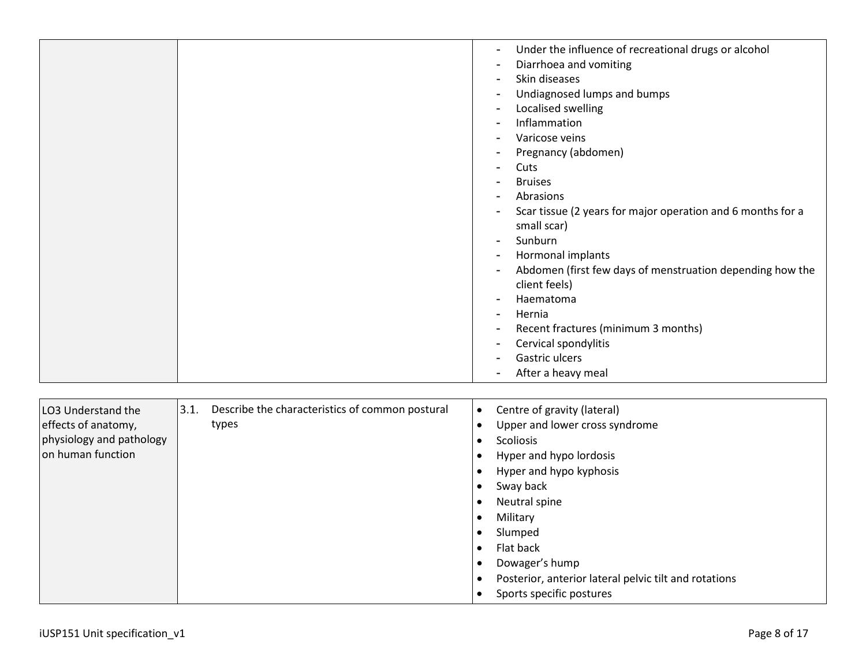|                                                                                                                                                                | Under the influence of recreational drugs or alcohol<br>Diarrhoea and vomiting<br>Skin diseases<br>Undiagnosed lumps and bumps<br>Localised swelling<br>Inflammation<br>Varicose veins<br>Pregnancy (abdomen)<br>Cuts<br><b>Bruises</b><br>Abrasions<br>Scar tissue (2 years for major operation and 6 months for a<br>small scar)<br>Sunburn<br>Hormonal implants<br>Abdomen (first few days of menstruation depending how the<br>client feels)<br>Haematoma<br>Hernia<br>Recent fractures (minimum 3 months)<br>Cervical spondylitis<br>Gastric ulcers<br>After a heavy meal |
|----------------------------------------------------------------------------------------------------------------------------------------------------------------|--------------------------------------------------------------------------------------------------------------------------------------------------------------------------------------------------------------------------------------------------------------------------------------------------------------------------------------------------------------------------------------------------------------------------------------------------------------------------------------------------------------------------------------------------------------------------------|
|                                                                                                                                                                |                                                                                                                                                                                                                                                                                                                                                                                                                                                                                                                                                                                |
| 3.1.<br>Describe the characteristics of common postural<br>LO3 Understand the<br>effects of anatomy,<br>types<br>physiology and pathology<br>on human function | Centre of gravity (lateral)<br>$\bullet$<br>Upper and lower cross syndrome<br>$\bullet$<br>Scoliosis<br>$\bullet$<br>Hyper and hypo lordosis<br>$\bullet$<br>Hyper and hypo kyphosis<br>Sway back<br>Neutral spine<br>Military<br>Slumped<br>Flat back<br>$\bullet$<br>Dowager's hump<br>$\bullet$<br>Posterior, anterior lateral pelvic tilt and rotations<br>Sports specific postures                                                                                                                                                                                        |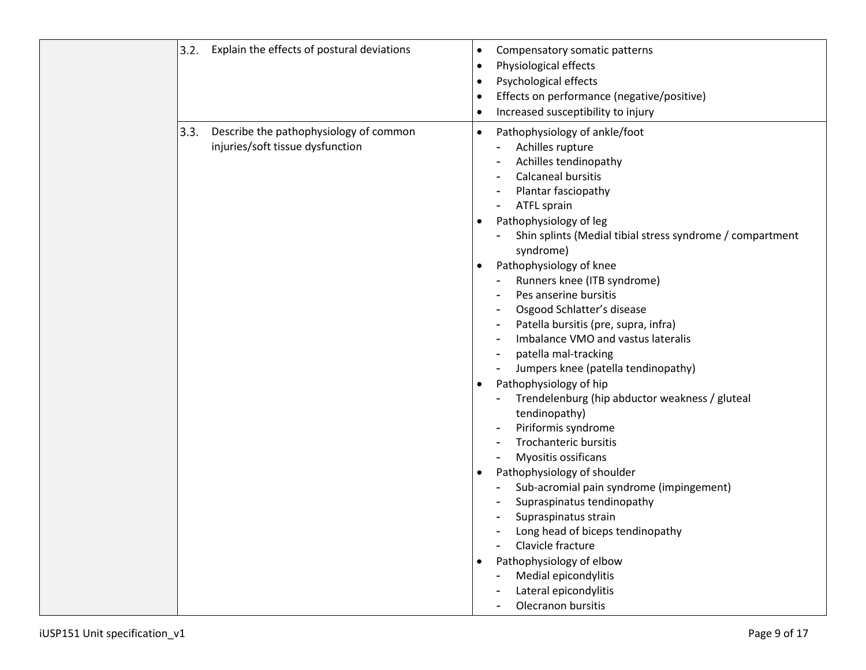|      | 3.2. Explain the effects of postural deviations                            | $\bullet$<br>$\bullet$<br>$\bullet$<br>$\bullet$<br>$\bullet$              | Compensatory somatic patterns<br>Physiological effects<br>Psychological effects<br>Effects on performance (negative/positive)<br>Increased susceptibility to injury                                                                                                                                                                                                                                                                                                                                                                                                                                                                                                                                                                                                                                                                                                                                                                                                                                                       |
|------|----------------------------------------------------------------------------|----------------------------------------------------------------------------|---------------------------------------------------------------------------------------------------------------------------------------------------------------------------------------------------------------------------------------------------------------------------------------------------------------------------------------------------------------------------------------------------------------------------------------------------------------------------------------------------------------------------------------------------------------------------------------------------------------------------------------------------------------------------------------------------------------------------------------------------------------------------------------------------------------------------------------------------------------------------------------------------------------------------------------------------------------------------------------------------------------------------|
| 3.3. | Describe the pathophysiology of common<br>injuries/soft tissue dysfunction | $\bullet$<br>$\bullet$<br>$\bullet$<br>$\bullet$<br>$\bullet$<br>$\bullet$ | Pathophysiology of ankle/foot<br>Achilles rupture<br>Achilles tendinopathy<br><b>Calcaneal bursitis</b><br>Plantar fasciopathy<br>ATFL sprain<br>Pathophysiology of leg<br>Shin splints (Medial tibial stress syndrome / compartment<br>syndrome)<br>Pathophysiology of knee<br>Runners knee (ITB syndrome)<br>Pes anserine bursitis<br>Osgood Schlatter's disease<br>Patella bursitis (pre, supra, infra)<br>Imbalance VMO and vastus lateralis<br>patella mal-tracking<br>$\overline{\phantom{a}}$<br>Jumpers knee (patella tendinopathy)<br>Pathophysiology of hip<br>Trendelenburg (hip abductor weakness / gluteal<br>tendinopathy)<br>Piriformis syndrome<br>$\overline{\phantom{a}}$<br><b>Trochanteric bursitis</b><br>Myositis ossificans<br>Pathophysiology of shoulder<br>Sub-acromial pain syndrome (impingement)<br>Supraspinatus tendinopathy<br>Supraspinatus strain<br>Long head of biceps tendinopathy<br>Clavicle fracture<br>Pathophysiology of elbow<br>Medial epicondylitis<br>Lateral epicondylitis |
|      |                                                                            |                                                                            | Olecranon bursitis                                                                                                                                                                                                                                                                                                                                                                                                                                                                                                                                                                                                                                                                                                                                                                                                                                                                                                                                                                                                        |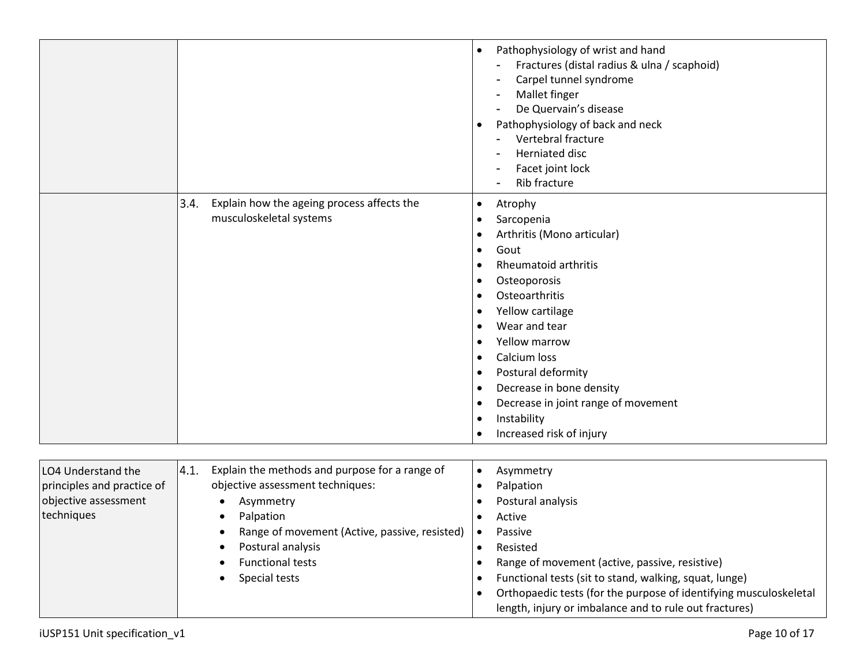|                                                                                        |                                                                                                                                   | Pathophysiology of wrist and hand<br>$\bullet$<br>Fractures (distal radius & ulna / scaphoid)<br>Carpel tunnel syndrome<br>Mallet finger<br>De Quervain's disease<br>Pathophysiology of back and neck<br>$\bullet$<br>Vertebral fracture<br>Herniated disc<br>Facet joint lock<br>$\blacksquare$<br>Rib fracture                                                                                                                                                                                                     |
|----------------------------------------------------------------------------------------|-----------------------------------------------------------------------------------------------------------------------------------|----------------------------------------------------------------------------------------------------------------------------------------------------------------------------------------------------------------------------------------------------------------------------------------------------------------------------------------------------------------------------------------------------------------------------------------------------------------------------------------------------------------------|
|                                                                                        | 3.4.<br>Explain how the ageing process affects the<br>musculoskeletal systems                                                     | Atrophy<br>$\bullet$<br>Sarcopenia<br>$\bullet$<br>Arthritis (Mono articular)<br>$\bullet$<br>Gout<br>$\bullet$<br><b>Rheumatoid arthritis</b><br>$\bullet$<br>Osteoporosis<br>$\bullet$<br>Osteoarthritis<br>$\bullet$<br>Yellow cartilage<br>٠<br>Wear and tear<br>$\bullet$<br>Yellow marrow<br>Calcium loss<br>$\bullet$<br>Postural deformity<br>$\bullet$<br>Decrease in bone density<br>$\bullet$<br>Decrease in joint range of movement<br>$\bullet$<br>Instability<br>$\bullet$<br>Increased risk of injury |
| LO4 Understand the<br>principles and practice of<br>objective assessment<br>techniques | 4.1.<br>Explain the methods and purpose for a range of<br>objective assessment techniques:<br>Asymmetry<br>Palpation<br>$\bullet$ | Asymmetry<br>$\bullet$<br>Palpation<br>$\bullet$<br>Postural analysis<br>$\bullet$<br>Active<br>$\bullet$                                                                                                                                                                                                                                                                                                                                                                                                            |

• Passive • Resisted

• Range of movement (active, passive, resistive) • Functional tests (sit to stand, walking, squat, lunge)

• Orthopaedic tests (for the purpose of identifying musculoskeletal

length, injury or imbalance and to rule out fractures)

• Range of movement (Active, passive, resisted)

• Postural analysis • Functional tests • Special tests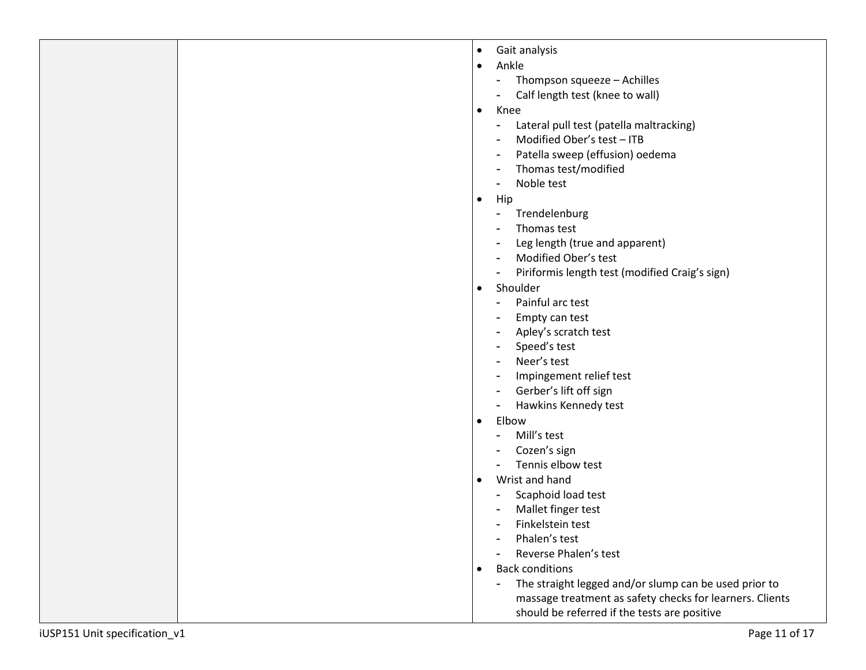| Gait analysis |  |
|---------------|--|
|               |  |

- -
	-
- -
	-
	-
	-
	-
- -
	-
	-
	-
	-
- -
	-
	-
	-
	-
	-
	-
	-
- -
	-
	-
- -
	-
	-
	-
	-
- 
- California<br>
California<br>
California<br>
California<br>
California<br>
California<br>
California<br>
California<br>
California<br>
California<br>
California<br>
California<br>
California<br>
California<br>
California<br>
California<br>
California<br>
California<br>
Calif massage treatment as safety checks for learners. Clients should be re ferred if the tests are positive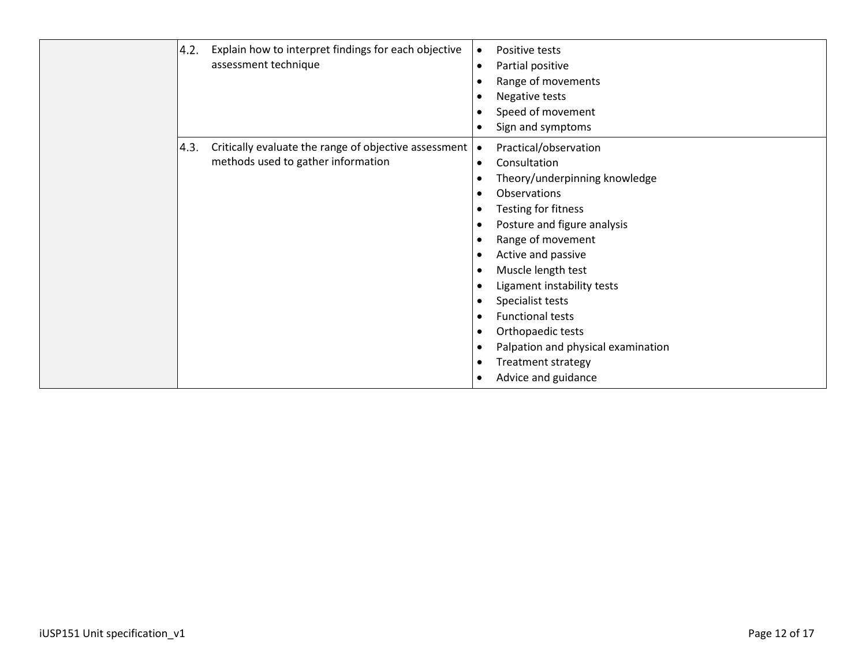| 4.2. | Explain how to interpret findings for each objective<br>assessment technique                | Positive tests<br>$\bullet$<br>Partial positive<br>$\bullet$<br>Range of movements<br>Negative tests<br>Speed of movement<br>$\bullet$<br>Sign and symptoms<br>$\bullet$                                                                                                                                                                                                                                                                                                                                                                                                                |
|------|---------------------------------------------------------------------------------------------|-----------------------------------------------------------------------------------------------------------------------------------------------------------------------------------------------------------------------------------------------------------------------------------------------------------------------------------------------------------------------------------------------------------------------------------------------------------------------------------------------------------------------------------------------------------------------------------------|
| 4.3. | Critically evaluate the range of objective assessment<br>methods used to gather information | Practical/observation<br>$\bullet$<br>Consultation<br>$\bullet$<br>Theory/underpinning knowledge<br>Observations<br>$\bullet$<br>Testing for fitness<br>$\bullet$<br>Posture and figure analysis<br>$\bullet$<br>Range of movement<br>$\bullet$<br>Active and passive<br>٠<br>Muscle length test<br>$\bullet$<br>Ligament instability tests<br>Specialist tests<br>$\bullet$<br><b>Functional tests</b><br>$\bullet$<br>Orthopaedic tests<br>$\bullet$<br>Palpation and physical examination<br>$\bullet$<br><b>Treatment strategy</b><br>$\bullet$<br>Advice and guidance<br>$\bullet$ |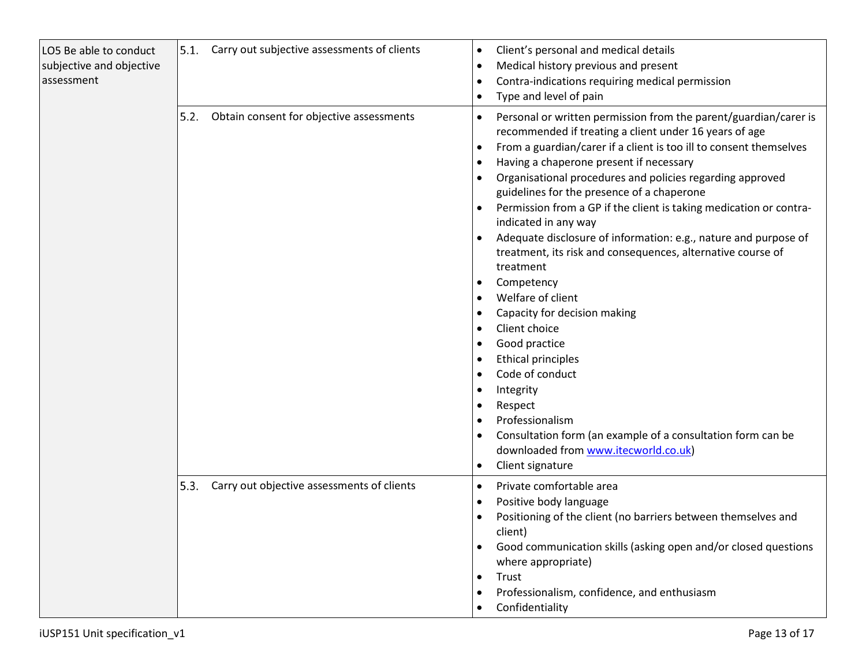| LO5 Be able to conduct<br>subjective and objective<br>assessment | 5.1.<br>Carry out subjective assessments of clients | Client's personal and medical details<br>$\bullet$<br>Medical history previous and present<br>Contra-indications requiring medical permission<br>Type and level of pain                                                                                                                                                                                                                                                                                                                                                                                                                                                                                                                                                                                                                                                                                                                                                                                  |
|------------------------------------------------------------------|-----------------------------------------------------|----------------------------------------------------------------------------------------------------------------------------------------------------------------------------------------------------------------------------------------------------------------------------------------------------------------------------------------------------------------------------------------------------------------------------------------------------------------------------------------------------------------------------------------------------------------------------------------------------------------------------------------------------------------------------------------------------------------------------------------------------------------------------------------------------------------------------------------------------------------------------------------------------------------------------------------------------------|
|                                                                  | 5.2.<br>Obtain consent for objective assessments    | Personal or written permission from the parent/guardian/carer is<br>$\bullet$<br>recommended if treating a client under 16 years of age<br>From a guardian/carer if a client is too ill to consent themselves<br>$\bullet$<br>Having a chaperone present if necessary<br>Organisational procedures and policies regarding approved<br>guidelines for the presence of a chaperone<br>Permission from a GP if the client is taking medication or contra-<br>indicated in any way<br>Adequate disclosure of information: e.g., nature and purpose of<br>treatment, its risk and consequences, alternative course of<br>treatment<br>Competency<br>Welfare of client<br>Capacity for decision making<br>Client choice<br>Good practice<br><b>Ethical principles</b><br>Code of conduct<br>Integrity<br>Respect<br>Professionalism<br>Consultation form (an example of a consultation form can be<br>downloaded from www.itecworld.co.uk)<br>Client signature |
|                                                                  | 5.3.<br>Carry out objective assessments of clients  | Private comfortable area<br>Positive body language<br>$\bullet$<br>Positioning of the client (no barriers between themselves and<br>client)<br>Good communication skills (asking open and/or closed questions<br>where appropriate)<br>Trust<br>$\bullet$<br>Professionalism, confidence, and enthusiasm<br>Confidentiality                                                                                                                                                                                                                                                                                                                                                                                                                                                                                                                                                                                                                              |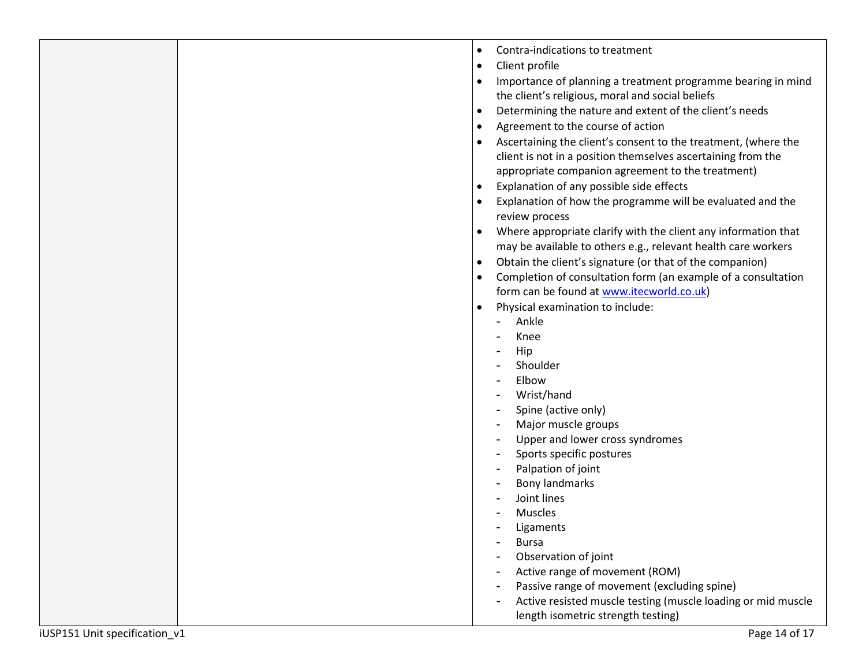|                              | Contra-indications to treatment<br>$\bullet$                          |
|------------------------------|-----------------------------------------------------------------------|
|                              | Client profile<br>$\bullet$                                           |
|                              | Importance of planning a treatment programme bearing in mind          |
|                              | the client's religious, moral and social beliefs                      |
|                              | Determining the nature and extent of the client's needs<br>$\bullet$  |
|                              | Agreement to the course of action<br>$\bullet$                        |
|                              | Ascertaining the client's consent to the treatment, (where the        |
|                              | client is not in a position themselves ascertaining from the          |
|                              | appropriate companion agreement to the treatment)                     |
|                              | Explanation of any possible side effects                              |
|                              | Explanation of how the programme will be evaluated and the            |
|                              | review process                                                        |
|                              | Where appropriate clarify with the client any information that        |
|                              | may be available to others e.g., relevant health care workers         |
|                              | Obtain the client's signature (or that of the companion)<br>$\bullet$ |
|                              | Completion of consultation form (an example of a consultation         |
|                              | form can be found at www.itecworld.co.uk)                             |
|                              | Physical examination to include:                                      |
|                              | Ankle<br>$\sim$                                                       |
|                              | Knee                                                                  |
|                              | Hip                                                                   |
|                              | Shoulder                                                              |
|                              | Elbow                                                                 |
|                              | Wrist/hand                                                            |
|                              | Spine (active only)                                                   |
|                              | Major muscle groups                                                   |
|                              | Upper and lower cross syndromes                                       |
|                              | Sports specific postures                                              |
|                              | Palpation of joint                                                    |
|                              | Bony landmarks                                                        |
|                              | Joint lines                                                           |
|                              | Muscles                                                               |
|                              | Ligaments                                                             |
|                              | <b>Bursa</b><br>Observation of joint                                  |
|                              | Active range of movement (ROM)                                        |
|                              | Passive range of movement (excluding spine)                           |
|                              | Active resisted muscle testing (muscle loading or mid muscle          |
|                              | length isometric strength testing)                                    |
|                              |                                                                       |
| JSP151 Unit specification v1 | Page 14 of 17                                                         |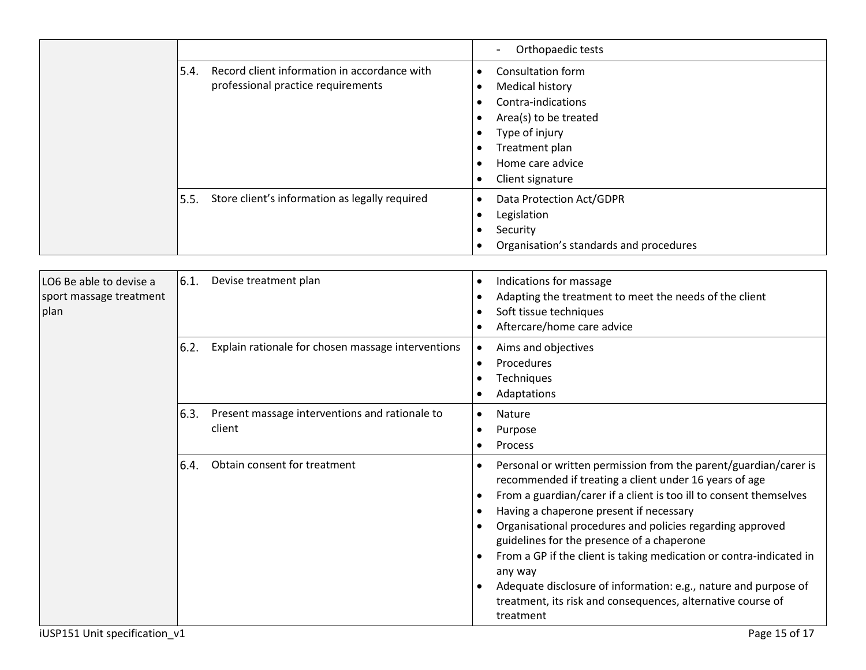|                                                            |                 |                                                                                    |                        | Orthopaedic tests                                                                                                                                                                                                                                                                                                                                                                                                                                                                                                                                                                       |
|------------------------------------------------------------|-----------------|------------------------------------------------------------------------------------|------------------------|-----------------------------------------------------------------------------------------------------------------------------------------------------------------------------------------------------------------------------------------------------------------------------------------------------------------------------------------------------------------------------------------------------------------------------------------------------------------------------------------------------------------------------------------------------------------------------------------|
|                                                            | 5.4.            | Record client information in accordance with<br>professional practice requirements | $\bullet$<br>$\bullet$ | <b>Consultation form</b><br><b>Medical history</b><br>Contra-indications<br>Area(s) to be treated<br>Type of injury<br>Treatment plan<br>Home care advice<br>Client signature                                                                                                                                                                                                                                                                                                                                                                                                           |
|                                                            | 5.5.            | Store client's information as legally required                                     | $\bullet$              | Data Protection Act/GDPR<br>Legislation<br>Security<br>Organisation's standards and procedures                                                                                                                                                                                                                                                                                                                                                                                                                                                                                          |
| LO6 Be able to devise a<br>sport massage treatment<br>plan | 6.1.            | Devise treatment plan                                                              | $\bullet$              | Indications for massage<br>Adapting the treatment to meet the needs of the client<br>Soft tissue techniques<br>Aftercare/home care advice                                                                                                                                                                                                                                                                                                                                                                                                                                               |
|                                                            | 6.2.            | Explain rationale for chosen massage interventions                                 | $\bullet$<br>$\bullet$ | Aims and objectives<br>Procedures<br>Techniques<br>Adaptations                                                                                                                                                                                                                                                                                                                                                                                                                                                                                                                          |
|                                                            | 6.3.            | Present massage interventions and rationale to<br>client                           | $\bullet$<br>$\bullet$ | Nature<br>Purpose<br>Process                                                                                                                                                                                                                                                                                                                                                                                                                                                                                                                                                            |
|                                                            | <sup>6.4.</sup> | Obtain consent for treatment                                                       | $\bullet$<br>$\bullet$ | Personal or written permission from the parent/guardian/carer is<br>recommended if treating a client under 16 years of age<br>From a guardian/carer if a client is too ill to consent themselves<br>Having a chaperone present if necessary<br>Organisational procedures and policies regarding approved<br>guidelines for the presence of a chaperone<br>From a GP if the client is taking medication or contra-indicated in<br>any way<br>Adequate disclosure of information: e.g., nature and purpose of<br>treatment, its risk and consequences, alternative course of<br>treatment |
| iUSP151 Unit specification_v1                              |                 |                                                                                    |                        | Page 15 of 17                                                                                                                                                                                                                                                                                                                                                                                                                                                                                                                                                                           |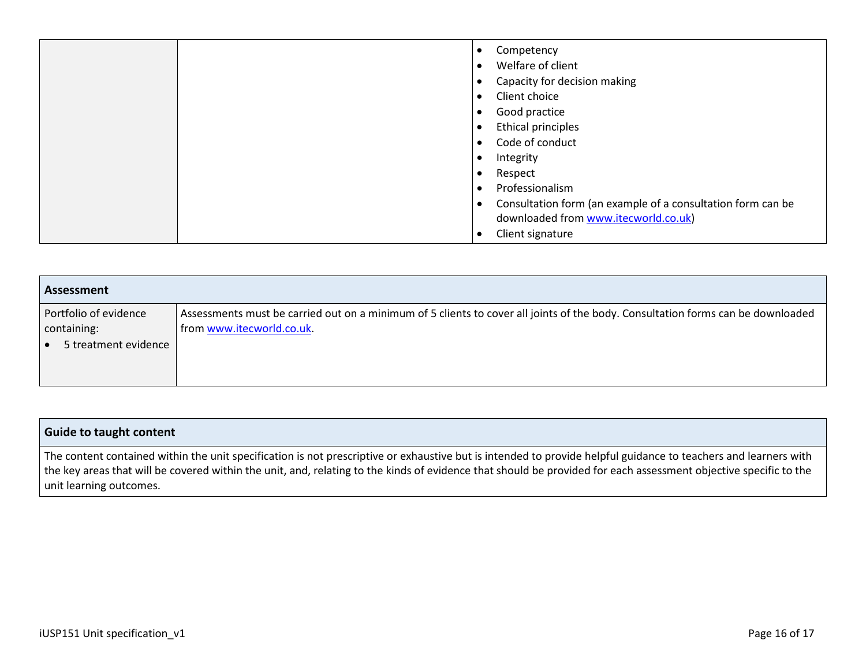|  | Competency<br>$\bullet$                                                  |
|--|--------------------------------------------------------------------------|
|  | Welfare of client<br>$\bullet$                                           |
|  | Capacity for decision making<br>$\bullet$                                |
|  | Client choice<br>$\epsilon$                                              |
|  | Good practice<br>$\bullet$                                               |
|  | <b>Ethical principles</b><br>$\bullet$                                   |
|  | Code of conduct<br>$\bullet$                                             |
|  | Integrity                                                                |
|  | Respect<br>$\bullet$                                                     |
|  | Professionalism<br>$\bullet$                                             |
|  | Consultation form (an example of a consultation form can be<br>$\bullet$ |
|  | downloaded from www.itecworld.co.uk)                                     |
|  | Client signature                                                         |

| Assessment                                                   |                                                                                                                                                              |
|--------------------------------------------------------------|--------------------------------------------------------------------------------------------------------------------------------------------------------------|
| Portfolio of evidence<br>containing:<br>5 treatment evidence | Assessments must be carried out on a minimum of 5 clients to cover all joints of the body. Consultation forms can be downloaded<br>from www.itecworld.co.uk. |

### **Guide to taught content**

The content contained within the unit specification is not prescriptive or exhaustive but is intended to provide helpful guidance to teachers and learners with the key areas that will be covered within the unit, and, relating to the kinds of evidence that should be provided for each assessment objective specific to the unit learning outcomes.